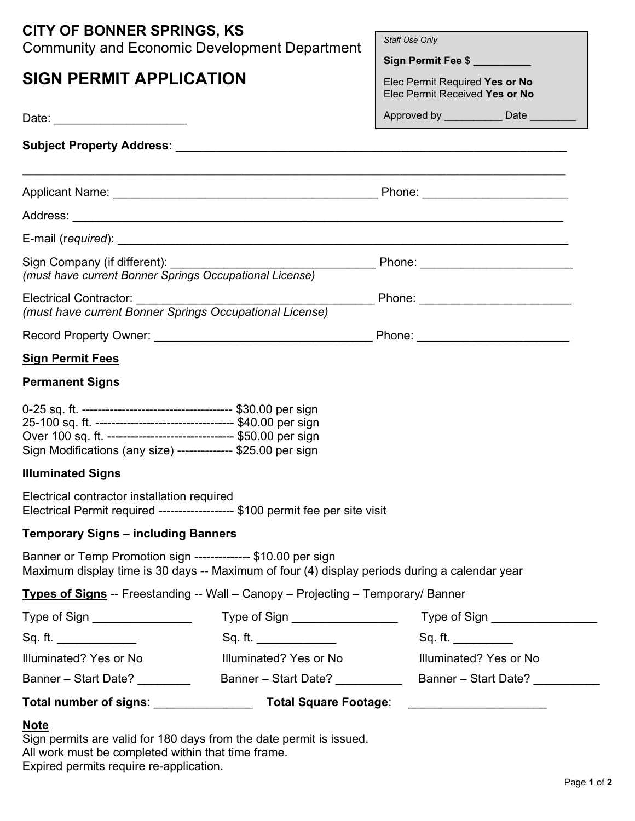| <b>CITY OF BONNER SPRINGS, KS</b><br><b>Community and Economic Development Department</b>                                                                      | Staff Use Only<br>Sign Permit Fee \$                             |  |  |  |
|----------------------------------------------------------------------------------------------------------------------------------------------------------------|------------------------------------------------------------------|--|--|--|
| <b>SIGN PERMIT APPLICATION</b>                                                                                                                                 | Elec Permit Required Yes or No<br>Elec Permit Received Yes or No |  |  |  |
|                                                                                                                                                                | Approved by ______________ Date ________                         |  |  |  |
|                                                                                                                                                                |                                                                  |  |  |  |
|                                                                                                                                                                |                                                                  |  |  |  |
|                                                                                                                                                                |                                                                  |  |  |  |
|                                                                                                                                                                |                                                                  |  |  |  |
| (must have current Bonner Springs Occupational License)                                                                                                        |                                                                  |  |  |  |
| (must have current Bonner Springs Occupational License)                                                                                                        |                                                                  |  |  |  |
|                                                                                                                                                                |                                                                  |  |  |  |
| <b>Sign Permit Fees</b>                                                                                                                                        |                                                                  |  |  |  |
| <b>Permanent Signs</b>                                                                                                                                         |                                                                  |  |  |  |
| Over 100 sq. ft. ------------------------------- \$50.00 per sign<br>Sign Modifications (any size) -------------- \$25.00 per sign                             |                                                                  |  |  |  |
| <b>Illuminated Signs</b>                                                                                                                                       |                                                                  |  |  |  |
| Electrical contractor installation required<br>Electrical Permit required ------------------- \$100 permit fee per site visit                                  |                                                                  |  |  |  |
| <b>Temporary Signs - including Banners</b>                                                                                                                     |                                                                  |  |  |  |
| Banner or Temp Promotion sign -------------- \$10.00 per sign<br>Maximum display time is 30 days -- Maximum of four (4) display periods during a calendar year |                                                                  |  |  |  |
| <b>Types of Signs</b> -- Freestanding -- Wall - Canopy - Projecting - Temporary/ Banner                                                                        |                                                                  |  |  |  |
| Type of Sign _________________<br>Type of Sign __________________                                                                                              | Type of Sign _________________                                   |  |  |  |
| Sq. ft. _____________<br>Sq. ft. ______________                                                                                                                | Sq. ft.                                                          |  |  |  |
| Illuminated? Yes or No<br>Illuminated? Yes or No                                                                                                               | Illuminated? Yes or No                                           |  |  |  |
| Banner – Start Date? ________                                                                                                                                  |                                                                  |  |  |  |
| Total number of signs: _________________________ Total Square Footage:                                                                                         |                                                                  |  |  |  |

## Note

Sign permits are valid for 180 days from the date permit is issued. All work must be completed within that time frame. Expired permits require re-application.